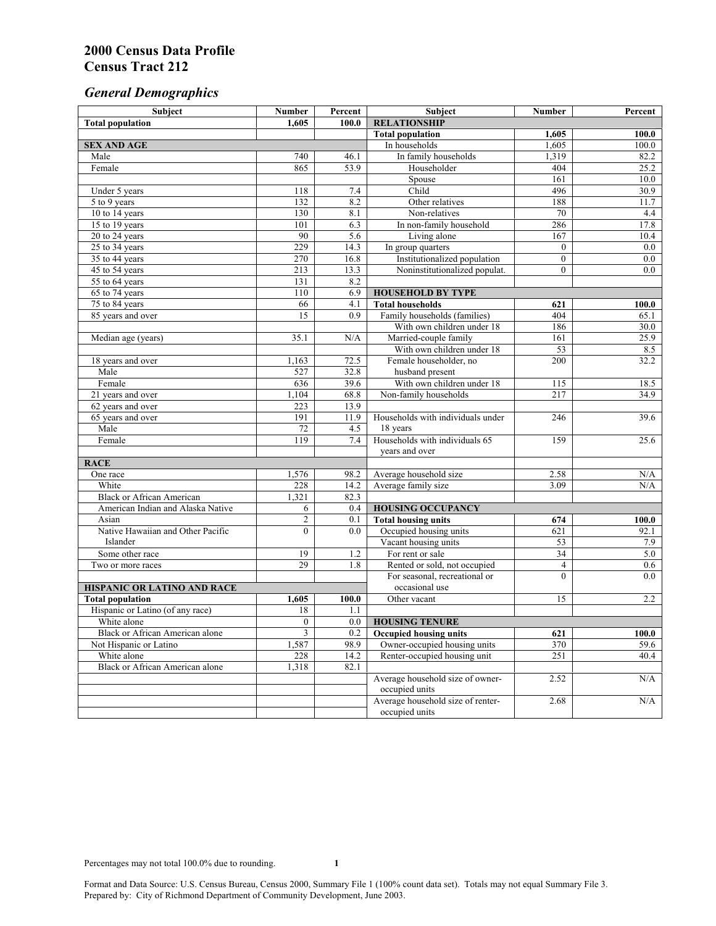# *General Demographics*

| Subject                           | <b>Number</b>         | Percent    | Subject                                                 | <b>Number</b>  | Percent       |
|-----------------------------------|-----------------------|------------|---------------------------------------------------------|----------------|---------------|
| <b>Total population</b>           | 1,605                 | 100.0      | <b>RELATIONSHIP</b>                                     |                |               |
|                                   |                       |            | <b>Total population</b>                                 | 1,605          | 100.0         |
| <b>SEX AND AGE</b>                |                       |            | In households                                           | 1,605          | 100.0         |
| Male                              | 740                   | 46.1       | In family households                                    | 1,319          | 82.2          |
| Female                            | 865                   | 53.9       | Householder                                             | 404            | 25.2          |
|                                   |                       |            | Spouse                                                  | 161            | 10.0          |
| Under 5 years                     | 118                   | 7.4        | Child                                                   | 496            | 30.9          |
| 5 to 9 years                      | 132                   | 8.2        | Other relatives                                         | 188            | 11.7          |
| 10 to 14 years                    | 130                   | 8.1        | Non-relatives                                           | 70             | 4.4           |
| 15 to 19 years                    | 101                   | 6.3        | In non-family household                                 | 286            | 17.8          |
| 20 to 24 years                    | 90                    | 5.6        | Living alone                                            | 167            | 10.4          |
| $25 \text{ to } 34$ years         | 229                   | 14.3       | In group quarters                                       | $\overline{0}$ | 0.0           |
| 35 to 44 years                    | 270                   | 16.8       | Institutionalized population                            | $\overline{0}$ | 0.0           |
| 45 to 54 years                    | 213                   | 13.3       | Noninstitutionalized populat.                           | $\overline{0}$ | 0.0           |
| 55 to 64 years                    | 131                   | 8.2        |                                                         |                |               |
| 65 to 74 years                    | 110                   | 6.9        | <b>HOUSEHOLD BY TYPE</b>                                |                |               |
| 75 to 84 years                    | 66<br>$\overline{15}$ | 4.1<br>0.9 | <b>Total households</b><br>Family households (families) | 621<br>404     | 100.0<br>65.1 |
| 85 years and over                 |                       |            | With own children under 18                              | 186            | 30.0          |
|                                   | 35.1                  | N/A        | Married-couple family                                   | 161            |               |
| Median age (years)                |                       |            | With own children under 18                              | 53             | 25.9<br>8.5   |
| 18 years and over                 | 1,163                 | 72.5       | Female householder, no                                  | 200            | 32.2          |
| Male                              | 527                   | 32.8       | husband present                                         |                |               |
| Female                            | 636                   | 39.6       | With own children under 18                              | 115            | 18.5          |
| 21 years and over                 | 1,104                 | 68.8       | Non-family households                                   | 217            | 34.9          |
| 62 years and over                 | 223                   | 13.9       |                                                         |                |               |
| 65 years and over                 | 191                   | 11.9       | Households with individuals under                       | 246            | 39.6          |
| Male                              | 72                    | 4.5        | 18 years                                                |                |               |
| Female                            | 119                   | 7.4        | Households with individuals 65                          | 159            | 25.6          |
|                                   |                       |            | years and over                                          |                |               |
| <b>RACE</b>                       |                       |            |                                                         |                |               |
| One race                          | 1,576                 | 98.2       | Average household size                                  | 2.58           | $\rm N/A$     |
| White                             | 228                   | 14.2       | Average family size                                     | 3.09           | N/A           |
| <b>Black or African American</b>  | 1,321                 | 82.3       |                                                         |                |               |
| American Indian and Alaska Native | 6                     | 0.4        | <b>HOUSING OCCUPANCY</b>                                |                |               |
| Asian                             | $\overline{c}$        | 0.1        | <b>Total housing units</b>                              | 674            | 100.0         |
| Native Hawaiian and Other Pacific | $\mathbf{0}$          | 0.0        | Occupied housing units                                  | 621            | 92.1          |
| Islander                          |                       |            | Vacant housing units                                    | 53             | 7.9           |
| Some other race                   | 19                    | 1.2        | For rent or sale                                        | 34             | 5.0           |
| Two or more races                 | 29                    | 1.8        | Rented or sold, not occupied                            | $\overline{4}$ | 0.6           |
|                                   |                       |            | For seasonal, recreational or                           | $\theta$       | 0.0           |
| HISPANIC OR LATINO AND RACE       |                       |            | occasional use                                          |                |               |
| <b>Total population</b>           | 1,605                 | 100.0      | Other vacant                                            | 15             | 2.2           |
| Hispanic or Latino (of any race)  | 18                    | 1.1        |                                                         |                |               |
| White alone                       | $\overline{0}$        | 0.0        | <b>HOUSING TENURE</b>                                   |                |               |
| Black or African American alone   | 3                     | 0.2        | <b>Occupied housing units</b>                           | 621            | 100.0         |
| Not Hispanic or Latino            | 1,587                 | 98.9       | Owner-occupied housing units                            | 370            | 59.6          |
| White alone                       | 228                   | 14.2       | Renter-occupied housing unit                            | 251            | 40.4          |
| Black or African American alone   | 1,318                 | 82.1       |                                                         |                |               |
|                                   |                       |            | Average household size of owner-                        | 2.52           | N/A           |
|                                   |                       |            | occupied units                                          |                |               |
|                                   |                       |            | Average household size of renter-                       | 2.68           | N/A           |
|                                   |                       |            | occupied units                                          |                |               |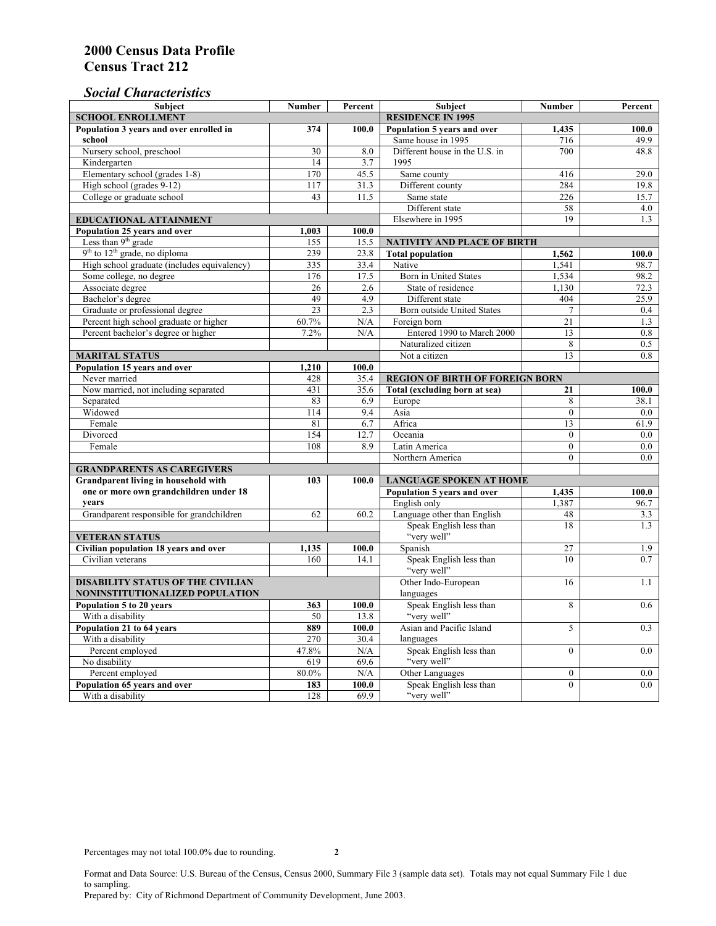# *Social Characteristics*

| <b>Subject</b>                                             | <b>Number</b>            | Percent       | <b>Subject</b>                                         | <b>Number</b>    | Percent |
|------------------------------------------------------------|--------------------------|---------------|--------------------------------------------------------|------------------|---------|
| <b>SCHOOL ENROLLMENT</b>                                   | <b>RESIDENCE IN 1995</b> |               |                                                        |                  |         |
| Population 3 years and over enrolled in                    | 374                      | 100.0         | Population 5 years and over                            | 1,435            | 100.0   |
| school                                                     |                          |               | Same house in 1995                                     | 716              | 49.9    |
| Nursery school, preschool                                  | 30                       | 8.0           | Different house in the U.S. in                         | 700              | 48.8    |
| Kindergarten                                               | 14                       | 3.7           | 1995                                                   |                  |         |
| Elementary school (grades 1-8)                             | 170                      | 45.5          | Same county                                            | 416              | 29.0    |
| High school (grades 9-12)                                  | 117                      | 31.3          | Different county                                       | 284              | 19.8    |
| College or graduate school                                 | 43                       | 11.5          | Same state                                             | 226              | 15.7    |
|                                                            |                          |               | Different state                                        | 58               | 4.0     |
| <b>EDUCATIONAL ATTAINMENT</b>                              | Elsewhere in 1995        | 19            | 1.3                                                    |                  |         |
| Population 25 years and over                               | 1,003                    | 100.0         |                                                        |                  |         |
| Less than 9 <sup>th</sup> grade                            | 155                      | 15.5          | NATIVITY AND PLACE OF BIRTH                            |                  |         |
| $9th$ to $12th$ grade, no diploma                          | 239                      | 23.8          | <b>Total population</b>                                | 1,562            | 100.0   |
| High school graduate (includes equivalency)                | 335                      | 33.4          | Native                                                 | 1.541            | 98.7    |
| Some college, no degree                                    | 176                      | 17.5          | <b>Born</b> in United States                           | 1,534            | 98.2    |
| Associate degree                                           | 26                       | 2.6           | State of residence                                     | 1,130            | 72.3    |
| Bachelor's degree                                          | 49                       | 4.9           | Different state                                        | 404              | 25.9    |
| Graduate or professional degree                            | 23                       | 2.3           | Born outside United States                             | $\overline{7}$   | 0.4     |
| Percent high school graduate or higher                     | 60.7%                    | N/A           | Foreign born                                           | 21               | 1.3     |
| Percent bachelor's degree or higher                        | 7.2%                     | N/A           | Entered 1990 to March 2000                             | 13               | 0.8     |
|                                                            |                          |               | Naturalized citizen                                    | 8                | 0.5     |
| <b>MARITAL STATUS</b>                                      |                          |               | Not a citizen                                          | 13               | 0.8     |
| Population 15 years and over                               | 1,210                    | 100.0         |                                                        |                  |         |
| Never married                                              | 428                      | 35.4          | <b>REGION OF BIRTH OF FOREIGN BORN</b>                 |                  |         |
| Now married, not including separated                       | 431                      | 35.6          | Total (excluding born at sea)                          | 21               | 100.0   |
| Separated                                                  | 83                       | 6.9           | Europe                                                 | 8                | 38.1    |
| Widowed                                                    | 114                      | 9.4           | Asia                                                   | $\overline{0}$   | 0.0     |
| Female                                                     | 81                       | 6.7           | Africa                                                 | 13               | 61.9    |
| Divorced                                                   | 154                      | 12.7          | Oceania                                                | $\Omega$         | 0.0     |
| Female                                                     | 108                      | 8.9           | Latin America                                          | $\boldsymbol{0}$ | $0.0\,$ |
|                                                            |                          |               | Northern America                                       | $\theta$         | 0.0     |
| <b>GRANDPARENTS AS CAREGIVERS</b>                          |                          |               |                                                        |                  |         |
| Grandparent living in household with                       | 103                      | 100.0         | <b>LANGUAGE SPOKEN AT HOME</b>                         |                  |         |
| one or more own grandchildren under 18                     |                          |               | Population 5 years and over                            | 1,435            | 100.0   |
| years                                                      | 62                       |               | English only                                           | 1,387            | 96.7    |
| Grandparent responsible for grandchildren                  |                          | 60.2          | Language other than English<br>Speak English less than | 48<br>18         | 3.3     |
|                                                            |                          |               | "very well"                                            |                  | 1.3     |
| <b>VETERAN STATUS</b>                                      |                          |               | Spanish                                                | 27               | 1.9     |
| Civilian population 18 years and over<br>Civilian veterans | 1,135<br>160             | 100.0<br>14.1 |                                                        | 10               | 0.7     |
|                                                            |                          |               | Speak English less than<br>"very well"                 |                  |         |
| <b>DISABILITY STATUS OF THE CIVILIAN</b>                   | Other Indo-European      | 16            | 1.1                                                    |                  |         |
| NONINSTITUTIONALIZED POPULATION                            | languages                |               |                                                        |                  |         |
| Population 5 to 20 years                                   | 363                      | 100.0         | Speak English less than                                | 8                | 0.6     |
| With a disability                                          | 50                       | 13.8          | "very well"                                            |                  |         |
| Population 21 to 64 years                                  | 889                      | 100.0         | Asian and Pacific Island                               | 5                | 0.3     |
| With a disability                                          | 270                      | 30.4          | languages                                              |                  |         |
| Percent employed                                           | 47.8%                    | N/A           | Speak English less than                                | $\overline{0}$   | 0.0     |
| No disability                                              | 619                      | 69.6          | "very well"                                            |                  |         |
| Percent employed                                           | 80.0%                    | N/A           | Other Languages                                        | $\boldsymbol{0}$ | $0.0\,$ |
| Population 65 years and over                               | 183                      | 100.0         | Speak English less than                                | $\mathbf{0}$     | 0.0     |
| With a disability                                          | 128                      | 69.9          | "very well"                                            |                  |         |

Format and Data Source: U.S. Bureau of the Census, Census 2000, Summary File 3 (sample data set). Totals may not equal Summary File 1 due to sampling.

Prepared by: City of Richmond Department of Community Development, June 2003.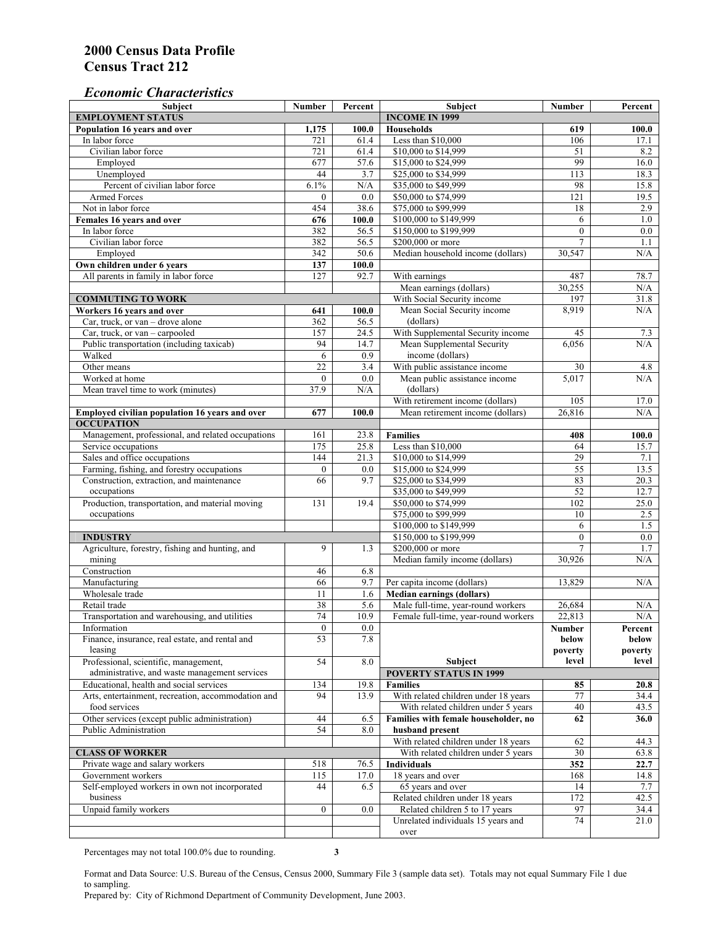### *Economic Characteristics*

| Subject                                             | <b>Number</b>    | Percent | Subject                                      | <b>Number</b>                  | Percent     |
|-----------------------------------------------------|------------------|---------|----------------------------------------------|--------------------------------|-------------|
| <b>EMPLOYMENT STATUS</b>                            |                  |         | <b>INCOME IN 1999</b>                        |                                |             |
| Population 16 years and over                        | 1,175            | 100.0   | <b>Households</b>                            | 619                            | 100.0       |
| In labor force                                      | 721              | 61.4    | Less than \$10,000                           | 106                            | 17.1        |
| Civilian labor force                                | $\overline{721}$ | 61.4    | \$10,000 to \$14,999                         | 51                             | 8.2         |
| Employed                                            | 677              | 57.6    | \$15,000 to \$24,999                         | 99                             | 16.0        |
| Unemployed                                          | 44               | 3.7     | \$25,000 to \$34,999                         | 113                            | 18.3        |
| Percent of civilian labor force                     | 6.1%             | N/A     | \$35,000 to \$49,999                         | 98                             | 15.8        |
| <b>Armed Forces</b>                                 | $\Omega$         | 0.0     | \$50,000 to \$74,999                         | 121                            | 19.5        |
| Not in labor force                                  | 454              | 38.6    | \$75,000 to \$99,999                         | 18                             | 2.9         |
| Females 16 years and over                           | 676              | 100.0   | \$100,000 to \$149,999                       | 6                              | 1.0         |
| In labor force                                      | 382              | 56.5    | \$150,000 to \$199,999                       | $\mathbf{0}$                   | 0.0         |
| Civilian labor force                                | 382              | 56.5    | \$200,000 or more                            | 7                              | 1.1         |
| Employed                                            | 342              | 50.6    | Median household income (dollars)            | 30,547                         | N/A         |
| Own children under 6 years                          | 137              | 100.0   |                                              |                                |             |
| All parents in family in labor force                | 127              | 92.7    | With earnings                                | 487                            | 78.7        |
|                                                     |                  |         | Mean earnings (dollars)                      | 30,255                         | N/A         |
| <b>COMMUTING TO WORK</b>                            |                  |         | With Social Security income                  | 197                            | 31.8        |
| Workers 16 years and over                           | 641              | 100.0   | Mean Social Security income                  | 8,919                          | N/A         |
| Car, truck, or van - drove alone                    | 362              | 56.5    | (dollars)                                    |                                |             |
| Car, truck, or van - carpooled                      | 157              | 24.5    | With Supplemental Security income            | 45                             | 7.3         |
| Public transportation (including taxicab)           | 94               | 14.7    | Mean Supplemental Security                   | 6,056                          | N/A         |
| Walked                                              | 6                | 0.9     | income (dollars)                             |                                |             |
| Other means                                         | 22               | 3.4     | With public assistance income                | 30                             | 4.8         |
| Worked at home                                      | $\mathbf{0}$     | 0.0     | Mean public assistance income                | 5,017                          | N/A         |
| Mean travel time to work (minutes)                  | 37.9             | N/A     | (dollars)                                    |                                |             |
|                                                     |                  |         | With retirement income (dollars)             | 105                            | 17.0        |
| Employed civilian population 16 years and over      | 677              | 100.0   | Mean retirement income (dollars)             | 26,816                         | N/A         |
| <b>OCCUPATION</b>                                   |                  |         |                                              |                                |             |
| Management, professional, and related occupations   | 161              | 23.8    | <b>Families</b>                              | 408                            | 100.0       |
|                                                     | 175              | 25.8    | Less than \$10,000                           | 64                             | 15.7        |
| Service occupations<br>Sales and office occupations | 144              | 21.3    |                                              | 29                             |             |
|                                                     | $\mathbf{0}$     | 0.0     | \$10,000 to \$14,999<br>\$15,000 to \$24,999 | $\overline{55}$                | 7.1<br>13.5 |
| Farming, fishing, and forestry occupations          | 66               | 9.7     | \$25,000 to \$34,999                         | 83                             | 20.3        |
| Construction, extraction, and maintenance           |                  |         |                                              | 52                             |             |
| occupations                                         |                  |         | \$35,000 to \$49,999                         |                                | 12.7        |
| Production, transportation, and material moving     | 131              | 19.4    | \$50,000 to \$74,999                         | 102                            | 25.0        |
| occupations                                         |                  |         | \$75,000 to \$99,999                         | 10                             | 2.5         |
|                                                     |                  |         | \$100,000 to \$149,999                       | 6                              | 1.5         |
| <b>INDUSTRY</b>                                     |                  |         | \$150,000 to \$199,999                       | $\mathbf{0}$<br>$\overline{7}$ | 0.0         |
| Agriculture, forestry, fishing and hunting, and     | 9                | 1.3     | \$200,000 or more                            |                                | 1.7         |
| mining                                              |                  |         | Median family income (dollars)               | 30,926                         | N/A         |
| Construction                                        | 46               | 6.8     |                                              |                                |             |
| Manufacturing                                       | 66               | 9.7     | Per capita income (dollars)                  | 13.829                         | N/A         |
| Wholesale trade                                     | 11               | 1.6     | <b>Median earnings (dollars)</b>             |                                |             |
| Retail trade                                        | 38               | 5.6     | Male full-time, year-round workers           | 26,684                         | N/A         |
| Transportation and warehousing, and utilities       | $\overline{74}$  | 10.9    | Female full-time, year-round workers         | 22,813                         | $\rm N/A$   |
| Information                                         | 0                | $0.0\,$ |                                              | Number                         | Percent     |
| Finance, insurance, real estate, and rental and     | 53               | 7.8     |                                              | below                          | below       |
| leasing                                             |                  |         |                                              | poverty                        | poverty     |
| Professional, scientific, management,               | 54               | $8.0\,$ | Subject                                      | level                          | level       |
| administrative, and waste management services       |                  |         | <b>POVERTY STATUS IN 1999</b>                |                                |             |
| Educational, health and social services             | 134              | 19.8    | <b>Families</b>                              | 85                             | 20.8        |
| Arts, entertainment, recreation, accommodation and  | 94               | 13.9    | With related children under 18 years         | 77                             | 34.4        |
| food services                                       |                  |         | With related children under 5 years          | 40                             | 43.5        |
| Other services (except public administration)       | 44               | 6.5     | Families with female householder, no         | 62                             | 36.0        |
| Public Administration                               | 54               | 8.0     | husband present                              |                                |             |
|                                                     |                  |         | With related children under 18 years         | 62                             | 44.3        |
| <b>CLASS OF WORKER</b>                              |                  |         | With related children under 5 years          | 30                             | 63.8        |
| Private wage and salary workers                     | 518              | 76.5    | <b>Individuals</b>                           | 352                            | 22.7        |
| Government workers                                  | 115              | 17.0    | 18 years and over                            | 168                            | 14.8        |
| Self-employed workers in own not incorporated       | 44               | 6.5     | 65 years and over                            | 14                             | 7.7         |
| business                                            |                  |         | Related children under 18 years              | 172                            | 42.5        |
| Unpaid family workers                               | $\overline{0}$   | 0.0     | Related children 5 to 17 years               | 97                             | 34.4        |
|                                                     |                  |         | Unrelated individuals 15 years and           | 74                             | 21.0        |
|                                                     |                  |         | over                                         |                                |             |

Percentages may not total 100.0% due to rounding. **3** 

Format and Data Source: U.S. Bureau of the Census, Census 2000, Summary File 3 (sample data set). Totals may not equal Summary File 1 due to sampling.

Prepared by: City of Richmond Department of Community Development, June 2003.